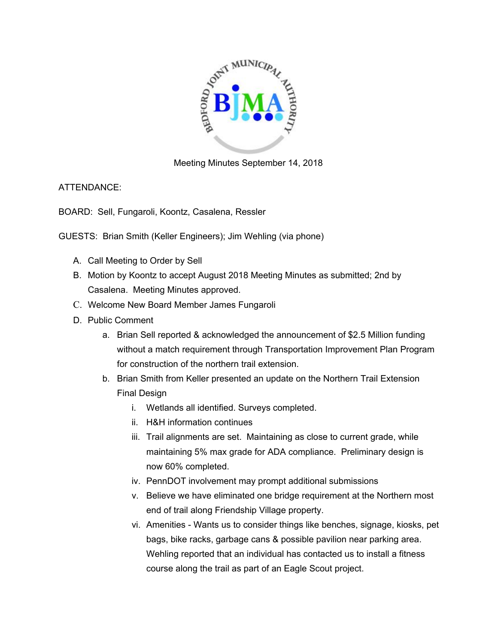

Meeting Minutes September 14, 2018

ATTENDANCE:

BOARD: Sell, Fungaroli, Koontz, Casalena, Ressler

GUESTS: Brian Smith (Keller Engineers); Jim Wehling (via phone)

- A. Call Meeting to Order by Sell
- B. Motion by Koontz to accept August 2018 Meeting Minutes as submitted; 2nd by Casalena. Meeting Minutes approved.
- C. Welcome New Board Member James Fungaroli
- D. Public Comment
	- a. Brian Sell reported & acknowledged the announcement of \$2.5 Million funding without a match requirement through Transportation Improvement Plan Program for construction of the northern trail extension.
	- b. Brian Smith from Keller presented an update on the Northern Trail Extension Final Design
		- i. Wetlands all identified. Surveys completed.
		- ii. H&H information continues
		- iii. Trail alignments are set. Maintaining as close to current grade, while maintaining 5% max grade for ADA compliance. Preliminary design is now 60% completed.
		- iv. PennDOT involvement may prompt additional submissions
		- v. Believe we have eliminated one bridge requirement at the Northern most end of trail along Friendship Village property.
		- vi. Amenities Wants us to consider things like benches, signage, kiosks, pet bags, bike racks, garbage cans & possible pavilion near parking area. Wehling reported that an individual has contacted us to install a fitness course along the trail as part of an Eagle Scout project.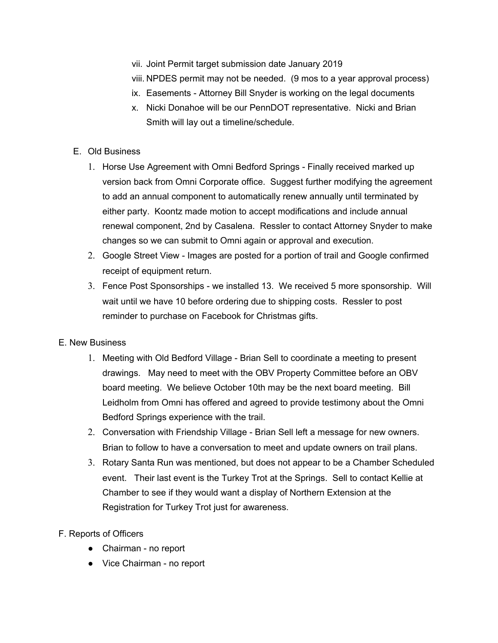- vii. Joint Permit target submission date January 2019
- viii. NPDES permit may not be needed. (9 mos to a year approval process)
- ix. Easements Attorney Bill Snyder is working on the legal documents
- x. Nicki Donahoe will be our PennDOT representative. Nicki and Brian Smith will lay out a timeline/schedule.
- E. Old Business
	- 1. Horse Use Agreement with Omni Bedford Springs Finally received marked up version back from Omni Corporate office. Suggest further modifying the agreement to add an annual component to automatically renew annually until terminated by either party. Koontz made motion to accept modifications and include annual renewal component, 2nd by Casalena. Ressler to contact Attorney Snyder to make changes so we can submit to Omni again or approval and execution.
	- 2. Google Street View Images are posted for a portion of trail and Google confirmed receipt of equipment return.
	- 3. Fence Post Sponsorships we installed 13. We received 5 more sponsorship. Will wait until we have 10 before ordering due to shipping costs. Ressler to post reminder to purchase on Facebook for Christmas gifts.

## E. New Business

- 1. Meeting with Old Bedford Village Brian Sell to coordinate a meeting to present drawings. May need to meet with the OBV Property Committee before an OBV board meeting. We believe October 10th may be the next board meeting. Bill Leidholm from Omni has offered and agreed to provide testimony about the Omni Bedford Springs experience with the trail.
- 2. Conversation with Friendship Village Brian Sell left a message for new owners. Brian to follow to have a conversation to meet and update owners on trail plans.
- 3. Rotary Santa Run was mentioned, but does not appear to be a Chamber Scheduled event. Their last event is the Turkey Trot at the Springs. Sell to contact Kellie at Chamber to see if they would want a display of Northern Extension at the Registration for Turkey Trot just for awareness.
- F. Reports of Officers
	- Chairman no report
	- Vice Chairman no report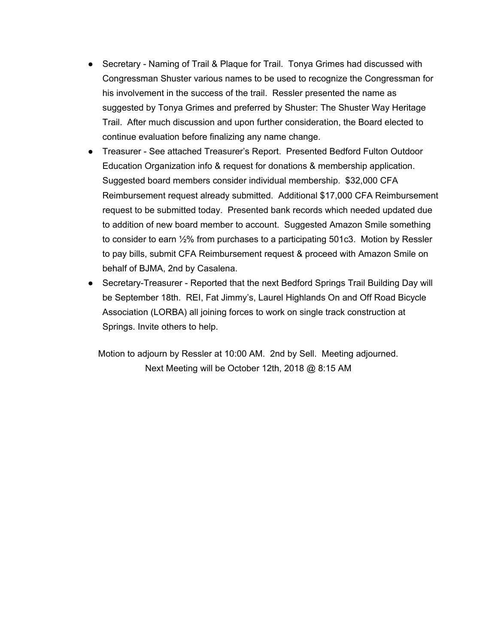- Secretary Naming of Trail & Plaque for Trail. Tonya Grimes had discussed with Congressman Shuster various names to be used to recognize the Congressman for his involvement in the success of the trail. Ressler presented the name as suggested by Tonya Grimes and preferred by Shuster: The Shuster Way Heritage Trail. After much discussion and upon further consideration, the Board elected to continue evaluation before finalizing any name change.
- Treasurer See attached Treasurer's Report. Presented Bedford Fulton Outdoor Education Organization info & request for donations & membership application. Suggested board members consider individual membership. \$32,000 CFA Reimbursement request already submitted. Additional \$17,000 CFA Reimbursement request to be submitted today. Presented bank records which needed updated due to addition of new board member to account. Suggested Amazon Smile something to consider to earn ½% from purchases to a participating 501c3. Motion by Ressler to pay bills, submit CFA Reimbursement request & proceed with Amazon Smile on behalf of BJMA, 2nd by Casalena.
- Secretary-Treasurer Reported that the next Bedford Springs Trail Building Day will be September 18th. REI, Fat Jimmy's, Laurel Highlands On and Off Road Bicycle Association (LORBA) all joining forces to work on single track construction at Springs. Invite others to help.

Motion to adjourn by Ressler at 10:00 AM. 2nd by Sell. Meeting adjourned. Next Meeting will be October 12th, 2018 @ 8:15 AM